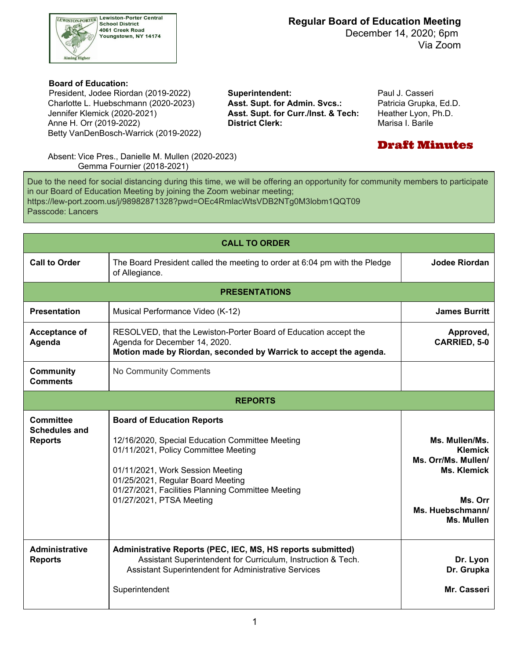

 December 14, 2020; 6pm Via Zoom

#### **Board of Education:**

 Charlotte L. Huebschmann (2020-2023) **Asst. Supt. for Admin. Svcs.:** Patricia Grupka, Ed.D. Jennifer Klemick (2020-2021) Anne H. Orr (2019-2022) **District Clerk:** Marisa I. Barile President, Jodee Riordan (2019-2022) **Superintendent:** Paul J. Casseri Betty VanDenBosch-Warrick (2019-2022)

Asst. Supt. for Curr./Inst. & Tech: Heather Lyon, Ph.D.

## Draft Minutes

 Absent: Vice Pres., Danielle M. Mullen (2020-2023) Gemma Fournier (2018-2021)

 Due to the need for social distancing during this time, we will be offering an opportunity for community members to participate in our Board of Education Meeting by joining the Zoom webinar meeting; <https://lew-port.zoom.us/j/98982871328?pwd=OEc4RmlacWtsVDB2NTg0M3lobm1QQT09> Passcode: Lancers

| <b>CALL TO ORDER</b>                                |                                                                                                                                                                                                                                                                                        |                                                                                                                            |  |  |  |  |  |
|-----------------------------------------------------|----------------------------------------------------------------------------------------------------------------------------------------------------------------------------------------------------------------------------------------------------------------------------------------|----------------------------------------------------------------------------------------------------------------------------|--|--|--|--|--|
| <b>Call to Order</b>                                | The Board President called the meeting to order at 6:04 pm with the Pledge<br>of Allegiance.                                                                                                                                                                                           | <b>Jodee Riordan</b>                                                                                                       |  |  |  |  |  |
| <b>PRESENTATIONS</b>                                |                                                                                                                                                                                                                                                                                        |                                                                                                                            |  |  |  |  |  |
| <b>Presentation</b>                                 | Musical Performance Video (K-12)                                                                                                                                                                                                                                                       | <b>James Burritt</b>                                                                                                       |  |  |  |  |  |
| <b>Acceptance of</b><br>Agenda                      | RESOLVED, that the Lewiston-Porter Board of Education accept the<br>Agenda for December 14, 2020.<br>Motion made by Riordan, seconded by Warrick to accept the agenda.                                                                                                                 | Approved,<br><b>CARRIED, 5-0</b>                                                                                           |  |  |  |  |  |
| <b>Community</b><br><b>Comments</b>                 | No Community Comments                                                                                                                                                                                                                                                                  |                                                                                                                            |  |  |  |  |  |
| <b>REPORTS</b>                                      |                                                                                                                                                                                                                                                                                        |                                                                                                                            |  |  |  |  |  |
| Committee<br><b>Schedules and</b><br><b>Reports</b> | <b>Board of Education Reports</b><br>12/16/2020, Special Education Committee Meeting<br>01/11/2021, Policy Committee Meeting<br>01/11/2021, Work Session Meeting<br>01/25/2021, Regular Board Meeting<br>01/27/2021, Facilities Planning Committee Meeting<br>01/27/2021, PTSA Meeting | Ms. Mullen/Ms.<br><b>Klemick</b><br>Ms. Orr/Ms. Mullen/<br><b>Ms. Klemick</b><br>Ms. Orr<br>Ms. Huebschmann/<br>Ms. Mullen |  |  |  |  |  |
| <b>Administrative</b><br><b>Reports</b>             | Administrative Reports (PEC, IEC, MS, HS reports submitted)<br>Assistant Superintendent for Curriculum, Instruction & Tech.<br>Assistant Superintendent for Administrative Services<br>Superintendent                                                                                  | Dr. Lyon<br>Dr. Grupka<br>Mr. Casseri                                                                                      |  |  |  |  |  |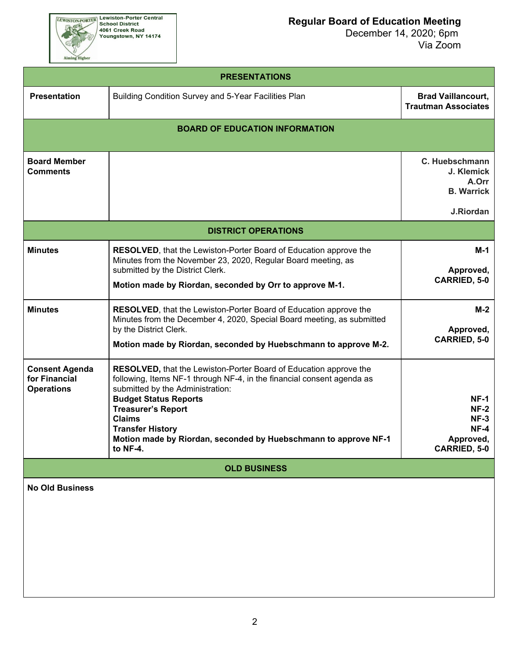

 December 14, 2020; 6pm Via Zoom

| <b>PRESENTATIONS</b>                                        |                                                                                                                                                                                                                                                                                                                                                                         |                                                                         |  |  |  |  |  |
|-------------------------------------------------------------|-------------------------------------------------------------------------------------------------------------------------------------------------------------------------------------------------------------------------------------------------------------------------------------------------------------------------------------------------------------------------|-------------------------------------------------------------------------|--|--|--|--|--|
| <b>Presentation</b>                                         | Building Condition Survey and 5-Year Facilities Plan                                                                                                                                                                                                                                                                                                                    | <b>Brad Vaillancourt,</b><br><b>Trautman Associates</b>                 |  |  |  |  |  |
|                                                             | <b>BOARD OF EDUCATION INFORMATION</b>                                                                                                                                                                                                                                                                                                                                   |                                                                         |  |  |  |  |  |
| <b>Board Member</b><br><b>Comments</b>                      |                                                                                                                                                                                                                                                                                                                                                                         | C. Huebschmann<br>J. Klemick<br>A.Orr<br><b>B.</b> Warrick<br>J.Riordan |  |  |  |  |  |
|                                                             | <b>DISTRICT OPERATIONS</b>                                                                                                                                                                                                                                                                                                                                              |                                                                         |  |  |  |  |  |
| <b>Minutes</b>                                              | RESOLVED, that the Lewiston-Porter Board of Education approve the<br>Minutes from the November 23, 2020, Regular Board meeting, as<br>submitted by the District Clerk.<br>Motion made by Riordan, seconded by Orr to approve M-1.                                                                                                                                       | M-1<br>Approved,<br><b>CARRIED, 5-0</b>                                 |  |  |  |  |  |
| <b>Minutes</b>                                              | RESOLVED, that the Lewiston-Porter Board of Education approve the<br>Minutes from the December 4, 2020, Special Board meeting, as submitted<br>by the District Clerk.<br>Motion made by Riordan, seconded by Huebschmann to approve M-2.                                                                                                                                | $M-2$<br>Approved,<br><b>CARRIED, 5-0</b>                               |  |  |  |  |  |
| <b>Consent Agenda</b><br>for Financial<br><b>Operations</b> | RESOLVED, that the Lewiston-Porter Board of Education approve the<br>following, Items NF-1 through NF-4, in the financial consent agenda as<br>submitted by the Administration:<br><b>Budget Status Reports</b><br><b>Treasurer's Report</b><br><b>Claims</b><br><b>Transfer History</b><br>Motion made by Riordan, seconded by Huebschmann to approve NF-1<br>to NF-4. | $NF-1$<br>$NF-2$<br>$NF-3$<br>$NF-4$<br>Approved,<br>CARRIED, 5-0       |  |  |  |  |  |
|                                                             | <b>OLD BUSINESS</b>                                                                                                                                                                                                                                                                                                                                                     |                                                                         |  |  |  |  |  |
| <b>No Old Business</b>                                      |                                                                                                                                                                                                                                                                                                                                                                         |                                                                         |  |  |  |  |  |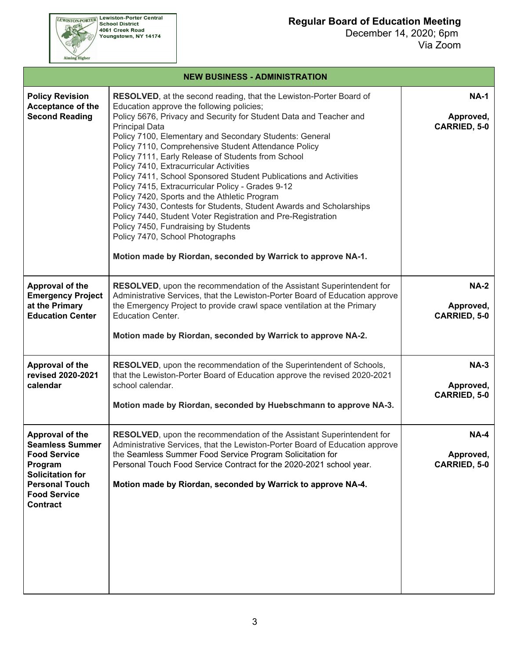December 14, 2020; 6pm Via Zoom



EEWISTON-PORTER Lewiston-Porter Central<br>School District<br>4061 Creek Road<br>Youngstown, NY 14174

# **NEW BUSINESS - ADMINISTRATION**

| <b>Policy Revision</b><br><b>Acceptance of the</b><br><b>Second Reading</b>                                                                                                      | <b>RESOLVED, at the second reading, that the Lewiston-Porter Board of</b><br>Education approve the following policies;<br>Policy 5676, Privacy and Security for Student Data and Teacher and<br><b>Principal Data</b><br>Policy 7100, Elementary and Secondary Students: General<br>Policy 7110, Comprehensive Student Attendance Policy<br>Policy 7111, Early Release of Students from School<br>Policy 7410, Extracurricular Activities<br>Policy 7411, School Sponsored Student Publications and Activities<br>Policy 7415, Extracurricular Policy - Grades 9-12<br>Policy 7420, Sports and the Athletic Program<br>Policy 7430, Contests for Students, Student Awards and Scholarships<br>Policy 7440, Student Voter Registration and Pre-Registration<br>Policy 7450, Fundraising by Students<br>Policy 7470, School Photographs<br>Motion made by Riordan, seconded by Warrick to approve NA-1. | <b>NA-1</b><br>Approved,<br><b>CARRIED, 5-0</b> |
|----------------------------------------------------------------------------------------------------------------------------------------------------------------------------------|-------------------------------------------------------------------------------------------------------------------------------------------------------------------------------------------------------------------------------------------------------------------------------------------------------------------------------------------------------------------------------------------------------------------------------------------------------------------------------------------------------------------------------------------------------------------------------------------------------------------------------------------------------------------------------------------------------------------------------------------------------------------------------------------------------------------------------------------------------------------------------------------------------|-------------------------------------------------|
| Approval of the<br><b>Emergency Project</b><br>at the Primary<br><b>Education Center</b>                                                                                         | RESOLVED, upon the recommendation of the Assistant Superintendent for<br>Administrative Services, that the Lewiston-Porter Board of Education approve<br>the Emergency Project to provide crawl space ventilation at the Primary<br><b>Education Center.</b><br>Motion made by Riordan, seconded by Warrick to approve NA-2.                                                                                                                                                                                                                                                                                                                                                                                                                                                                                                                                                                          | <b>NA-2</b><br>Approved,<br><b>CARRIED, 5-0</b> |
| Approval of the<br>revised 2020-2021<br>calendar                                                                                                                                 | RESOLVED, upon the recommendation of the Superintendent of Schools,<br>that the Lewiston-Porter Board of Education approve the revised 2020-2021<br>school calendar.<br>Motion made by Riordan, seconded by Huebschmann to approve NA-3.                                                                                                                                                                                                                                                                                                                                                                                                                                                                                                                                                                                                                                                              | $NA-3$<br>Approved,<br><b>CARRIED, 5-0</b>      |
| <b>Approval of the</b><br><b>Seamless Summer</b><br><b>Food Service</b><br>Program<br><b>Solicitation for</b><br><b>Personal Touch</b><br><b>Food Service</b><br><b>Contract</b> | <b>RESOLVED</b> , upon the recommendation of the Assistant Superintendent for<br>Administrative Services, that the Lewiston-Porter Board of Education approve<br>the Seamless Summer Food Service Program Solicitation for<br>Personal Touch Food Service Contract for the 2020-2021 school year.<br>Motion made by Riordan, seconded by Warrick to approve NA-4.                                                                                                                                                                                                                                                                                                                                                                                                                                                                                                                                     | $NA-4$<br>Approved,<br>CARRIED, 5-0             |